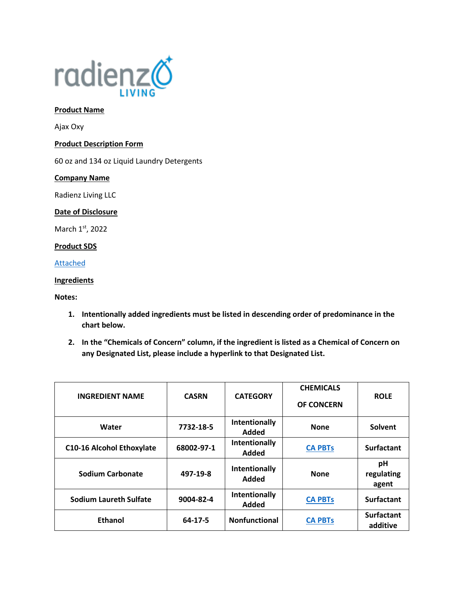

## **Product Name**

Ajax Oxy

### **Product Description Form**

60 oz and 134 oz Liquid Laundry Detergents

### **Company Name**

Radienz Living LLC

# **Date of Disclosure**

March 1st, 2022

# **Product SDS**

[Attached](file://///srvfs02/home/mloesch/Files/Home%20Care/AJAX-2020/SDS/OXY.pdf)

# **Ingredients**

**Notes:** 

- **1. Intentionally added ingredients must be listed in descending order of predominance in the chart below.**
- **2. In the "Chemicals of Concern" column, if the ingredient is listed as a Chemical of Concern on any Designated List, please include a hyperlink to that Designated List.**

| <b>INGREDIENT NAME</b>           | <b>CASRN</b>  | <b>CATEGORY</b>        | <b>CHEMICALS</b><br><b>OF CONCERN</b> | <b>ROLE</b>                   |
|----------------------------------|---------------|------------------------|---------------------------------------|-------------------------------|
| Water                            | 7732-18-5     | Intentionally<br>Added | <b>None</b>                           | Solvent                       |
| <b>C10-16 Alcohol Ethoxylate</b> | 68002-97-1    | Intentionally<br>Added | <b>CA PBTs</b>                        | <b>Surfactant</b>             |
| <b>Sodium Carbonate</b>          | 497-19-8      | Intentionally<br>Added | <b>None</b>                           | рH<br>regulating<br>agent     |
| <b>Sodium Laureth Sulfate</b>    | 9004-82-4     | Intentionally<br>Added | <b>CA PBTs</b>                        | <b>Surfactant</b>             |
| <b>Ethanol</b>                   | $64 - 17 - 5$ | <b>Nonfunctional</b>   | <b>CA PBTs</b>                        | <b>Surfactant</b><br>additive |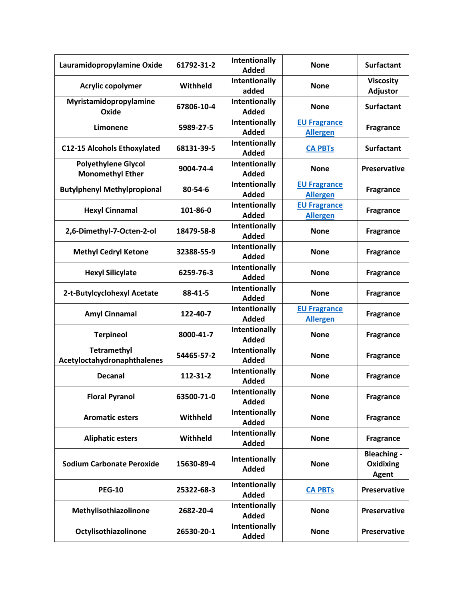| Lauramidopropylamine Oxide                            | 61792-31-2 | Intentionally<br><b>Added</b>        | <b>None</b>                            | <b>Surfactant</b>                               |
|-------------------------------------------------------|------------|--------------------------------------|----------------------------------------|-------------------------------------------------|
| Acrylic copolymer                                     | Withheld   | Intentionally<br>added               | <b>None</b>                            | <b>Viscosity</b><br><b>Adjustor</b>             |
| Myristamidopropylamine<br>Oxide                       | 67806-10-4 | Intentionally<br><b>Added</b>        | <b>None</b>                            | <b>Surfactant</b>                               |
| Limonene                                              | 5989-27-5  | Intentionally<br><b>Added</b>        | <b>EU Fragrance</b><br><b>Allergen</b> | <b>Fragrance</b>                                |
| <b>C12-15 Alcohols Ethoxylated</b>                    | 68131-39-5 | Intentionally<br><b>Added</b>        | <b>CA PBTs</b>                         | <b>Surfactant</b>                               |
| <b>Polyethylene Glycol</b><br><b>Monomethyl Ether</b> | 9004-74-4  | Intentionally<br><b>Added</b>        | <b>None</b>                            | Preservative                                    |
| <b>Butylphenyl Methylpropional</b>                    | 80-54-6    | Intentionally<br><b>Added</b>        | <b>EU Fragrance</b><br><b>Allergen</b> | <b>Fragrance</b>                                |
| <b>Hexyl Cinnamal</b>                                 | 101-86-0   | Intentionally<br><b>Added</b>        | <b>EU Fragrance</b><br><b>Allergen</b> | <b>Fragrance</b>                                |
| 2,6-Dimethyl-7-Octen-2-ol                             | 18479-58-8 | Intentionally<br>Added               | <b>None</b>                            | <b>Fragrance</b>                                |
| <b>Methyl Cedryl Ketone</b>                           | 32388-55-9 | Intentionally<br><b>Added</b>        | <b>None</b>                            | <b>Fragrance</b>                                |
| <b>Hexyl Silicylate</b>                               | 6259-76-3  | Intentionally<br><b>Added</b>        | <b>None</b>                            | <b>Fragrance</b>                                |
| 2-t-Butylcyclohexyl Acetate                           | 88-41-5    | Intentionally<br><b>Added</b>        | <b>None</b>                            | <b>Fragrance</b>                                |
| <b>Amyl Cinnamal</b>                                  | 122-40-7   | Intentionally<br><b>Added</b>        | <b>EU Fragrance</b><br><b>Allergen</b> | <b>Fragrance</b>                                |
| <b>Terpineol</b>                                      | 8000-41-7  | Intentionally<br><b>Added</b>        | <b>None</b>                            | <b>Fragrance</b>                                |
| <b>Tetramethyl</b><br>Acetyloctahydronaphthalenes     | 54465-57-2 | Intentionally<br><b>Added</b>        | <b>None</b>                            | <b>Fragrance</b>                                |
| <b>Decanal</b>                                        | 112-31-2   | <b>Intentionally</b><br><b>Added</b> | <b>None</b>                            | <b>Fragrance</b>                                |
| <b>Floral Pyranol</b>                                 | 63500-71-0 | Intentionally<br><b>Added</b>        | <b>None</b>                            | <b>Fragrance</b>                                |
| <b>Aromatic esters</b>                                | Withheld   | Intentionally<br><b>Added</b>        | <b>None</b>                            | <b>Fragrance</b>                                |
| <b>Aliphatic esters</b>                               | Withheld   | Intentionally<br><b>Added</b>        | <b>None</b>                            | <b>Fragrance</b>                                |
| <b>Sodium Carbonate Peroxide</b>                      | 15630-89-4 | Intentionally<br>Added               | <b>None</b>                            | <b>Bleaching -</b><br>Oxidixing<br><b>Agent</b> |
| <b>PEG-10</b>                                         | 25322-68-3 | Intentionally<br><b>Added</b>        | <b>CA PBTs</b>                         | <b>Preservative</b>                             |
| Methylisothiazolinone                                 | 2682-20-4  | Intentionally<br><b>Added</b>        | <b>None</b>                            | <b>Preservative</b>                             |
| Octylisothiazolinone                                  | 26530-20-1 | Intentionally<br><b>Added</b>        | <b>None</b>                            | <b>Preservative</b>                             |